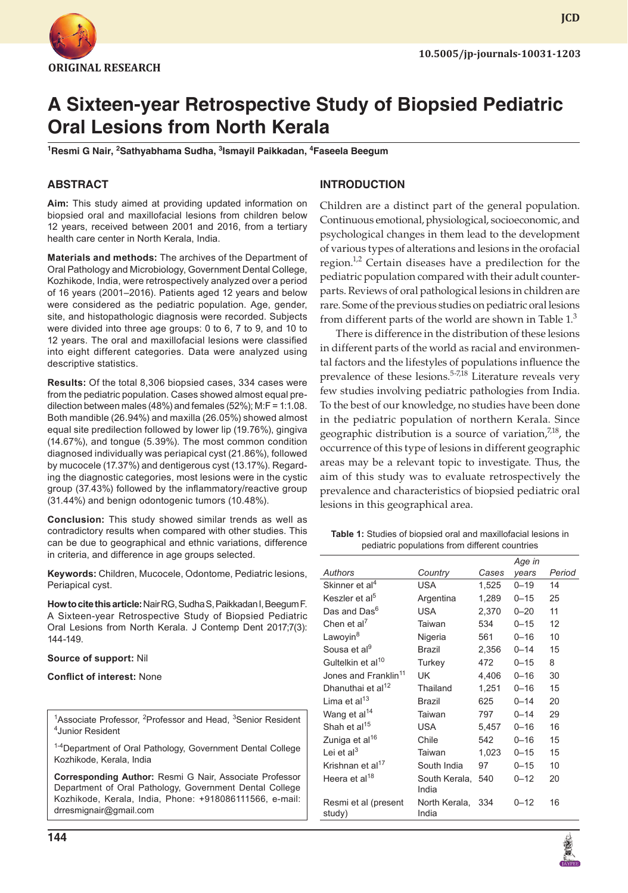

**JCD**

# **A Sixteen-year Retrospective Study of Biopsied Pediatric Oral Lesions from North Kerala**

<sup>1</sup>Resmi G Nair, <sup>2</sup>Sathyabhama Sudha, <sup>3</sup>Ismayil Paikkadan, <sup>4</sup>Faseela Beegum

## **ABSTRACT**

**Aim:** This study aimed at providing updated information on biopsied oral and maxillofacial lesions from children below 12 years, received between 2001 and 2016, from a tertiary health care center in North Kerala, India.

**Materials and methods:** The archives of the Department of Oral Pathology and Microbiology, Government Dental College, Kozhikode, India, were retrospectively analyzed over a period of 16 years (2001–2016). Patients aged 12 years and below were considered as the pediatric population. Age, gender, site, and histopathologic diagnosis were recorded. Subjects were divided into three age groups: 0 to 6, 7 to 9, and 10 to 12 years. The oral and maxillofacial lesions were classified into eight different categories. Data were analyzed using descriptive statistics.

**Results:** Of the total 8,306 biopsied cases, 334 cases were from the pediatric population. Cases showed almost equal predilection between males (48%) and females (52%); M:F = 1:1.08. Both mandible (26.94%) and maxilla (26.05%) showed almost equal site predilection followed by lower lip (19.76%), gingiva (14.67%), and tongue (5.39%). The most common condition diagnosed individually was periapical cyst (21.86%), followed by mucocele (17.37%) and dentigerous cyst (13.17%). Regarding the diagnostic categories, most lesions were in the cystic group (37.43%) followed by the inflammatory/reactive group (31.44%) and benign odontogenic tumors (10.48%).

**Conclusion:** This study showed similar trends as well as contradictory results when compared with other studies. This can be due to geographical and ethnic variations, difference in criteria, and difference in age groups selected.

**Keywords:** Children, Mucocele, Odontome, Pediatric lesions, Periapical cyst.

**How to cite this article:** Nair RG, Sudha S, Paikkadan I, Beegum F. A Sixteen-year Retrospective Study of Biopsied Pediatric Oral Lesions from North Kerala. J Contemp Dent 2017;7(3): 144-149.

#### **Source of support:** Nil

#### **Conflict of interest:** None

<sup>1</sup> Associate Professor, <sup>2</sup> Professor and Head, <sup>3</sup> Senior Resident 4 Lunior Pesident Junior Resident

1-4Department of Oral Pathology, Government Dental College Kozhikode, Kerala, India

**Corresponding Author:** Resmi G Nair, Associate Professor Department of Oral Pathology, Government Dental College Kozhikode, Kerala, India, Phone: +918086111566, e-mail: drresmignair@gmail.com

## **INTRODUCTION**

Children are a distinct part of the general population. Continuous emotional, physiological, socioeconomic, and psychological changes in them lead to the development of various types of alterations and lesions in the orofacial region.<sup>1,2</sup> Certain diseases have a predilection for the pediatric population compared with their adult counterparts. Reviews of oral pathological lesions in children are rare. Some of the previous studies on pediatric oral lesions from different parts of the world are shown in Table  $1<sup>3</sup>$ 

There is difference in the distribution of these lesions in different parts of the world as racial and environmental factors and the lifestyles of populations influence the prevalence of these lesions.<sup>5-7,18</sup> Literature reveals very few studies involving pediatric pathologies from India. To the best of our knowledge, no studies have been done in the pediatric population of northern Kerala. Since geographic distribution is a source of variation,<sup>7,18</sup>, the occurrence of this type of lesions in different geographic areas may be a relevant topic to investigate. Thus, the aim of this study was to evaluate retrospectively the prevalence and characteristics of biopsied pediatric oral lesions in this geographical area.

**Table 1:** Studies of biopsied oral and maxillofacial lesions in pediatric populations from different countries

|                                  |                        |       | Age in   |        |
|----------------------------------|------------------------|-------|----------|--------|
| Authors                          | Country                | Cases | years    | Period |
| Skinner et al <sup>4</sup>       | <b>USA</b>             | 1,525 | $0 - 19$ | 14     |
| Keszler et al <sup>5</sup>       | Argentina              | 1,289 | $0 - 15$ | 25     |
| Das and Das <sup>6</sup>         | USA                    | 2,370 | $0 - 20$ | 11     |
| Chen et al <sup>7</sup>          | Taiwan                 | 534   | $0 - 15$ | 12     |
| Lawoyin <sup>8</sup>             | Nigeria                | 561   | $0 - 16$ | 10     |
| Sousa et al <sup>9</sup>         | Brazil                 | 2,356 | $0 - 14$ | 15     |
| Gultelkin et al <sup>10</sup>    | Turkey                 | 472   | $0 - 15$ | 8      |
| Jones and Franklin <sup>11</sup> | UK                     | 4,406 | $0 - 16$ | 30     |
| Dhanuthai et al <sup>12</sup>    | Thailand               | 1,251 | $0 - 16$ | 15     |
| Lima et al <sup>13</sup>         | <b>Brazil</b>          | 625   | $0 - 14$ | 20     |
| Wang et al <sup>14</sup>         | Taiwan                 | 797   | $0 - 14$ | 29     |
| Shah et al <sup>15</sup>         | USA                    | 5,457 | $0 - 16$ | 16     |
| Zuniga et al <sup>16</sup>       | Chile                  | 542   | $0 - 16$ | 15     |
| Lei et al $3$                    | Taiwan                 | 1,023 | $0 - 15$ | 15     |
| Krishnan et al <sup>17</sup>     | South India            | 97    | $0 - 15$ | 10     |
| Heera et al <sup>18</sup>        | South Kerala.<br>India | 540   | $0 - 12$ | 20     |
| Resmi et al (present<br>study)   | North Kerala,<br>India | 334   | $0 - 12$ | 16     |
|                                  |                        |       |          |        |

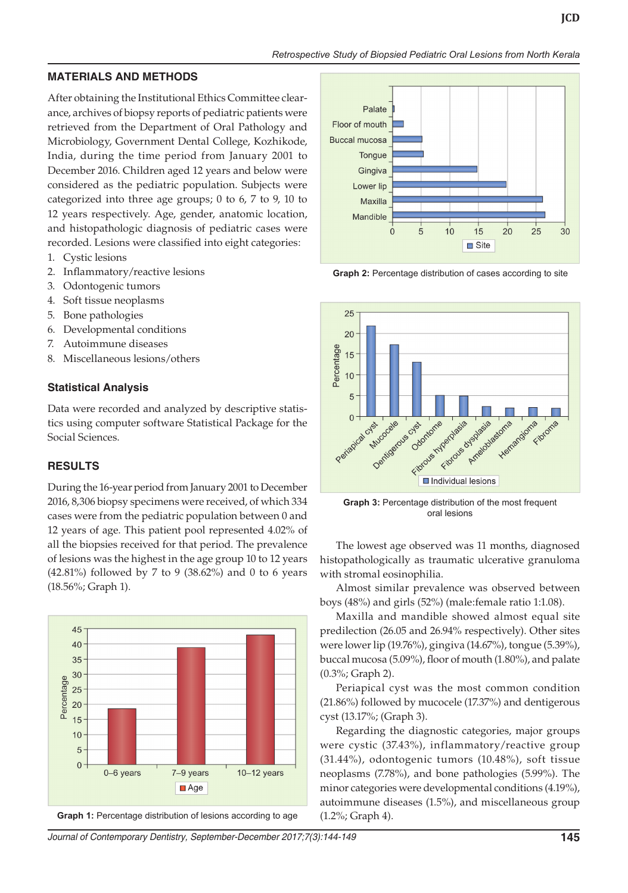### **MATERIALS AND METHODS**

After obtaining the Institutional Ethics Committee clearance, archives of biopsy reports of pediatric patients were retrieved from the Department of Oral Pathology and Microbiology, Government Dental College, Kozhikode, India, during the time period from January 2001 to December 2016. Children aged 12 years and below were considered as the pediatric population. Subjects were categorized into three age groups; 0 to 6, 7 to 9, 10 to 12 years respectively. Age, gender, anatomic location, and histopathologic diagnosis of pediatric cases were recorded. Lesions were classified into eight categories:

- 1. Cystic lesions
- 2. Inflammatory/reactive lesions
- 3. Odontogenic tumors
- 4. Soft tissue neoplasms
- 5. Bone pathologies
- 6. Developmental conditions
- 7. Autoimmune diseases
- 8. Miscellaneous lesions/others

## **Statistical Analysis**

Data were recorded and analyzed by descriptive statistics using computer software Statistical Package for the Social Sciences.

## **RESULTS**

During the 16-year period from January 2001 to December 2016, 8,306 biopsy specimens were received, of which 334 cases were from the pediatric population between 0 and 12 years of age. This patient pool represented 4.02% of all the biopsies received for that period. The prevalence of lesions was the highest in the age group 10 to 12 years (42.81%) followed by 7 to 9 (38.62%) and 0 to 6 years (18.56%; Graph 1).







**Graph 2:** Percentage distribution of cases according to site



**Graph 3:** Percentage distribution of the most frequent oral lesions

The lowest age observed was 11 months, diagnosed histopathologically as traumatic ulcerative granuloma with stromal eosinophilia.

Almost similar prevalence was observed between boys (48%) and girls (52%) (male:female ratio 1:1.08).

Maxilla and mandible showed almost equal site predilection (26.05 and 26.94% respectively). Other sites were lower lip (19.76%), gingiva (14.67%), tongue (5.39%), buccal mucosa (5.09%), floor of mouth (1.80%), and palate (0.3%; Graph 2).

Periapical cyst was the most common condition (21.86%) followed by mucocele (17.37%) and dentigerous cyst (13.17%; (Graph 3).

Regarding the diagnostic categories, major groups were cystic (37.43%), inflammatory/reactive group (31.44%), odontogenic tumors (10.48%), soft tissue neoplasms (7.78%), and bone pathologies (5.99%). The minor categories were developmental conditions (4.19%), autoimmune diseases (1.5%), and miscellaneous group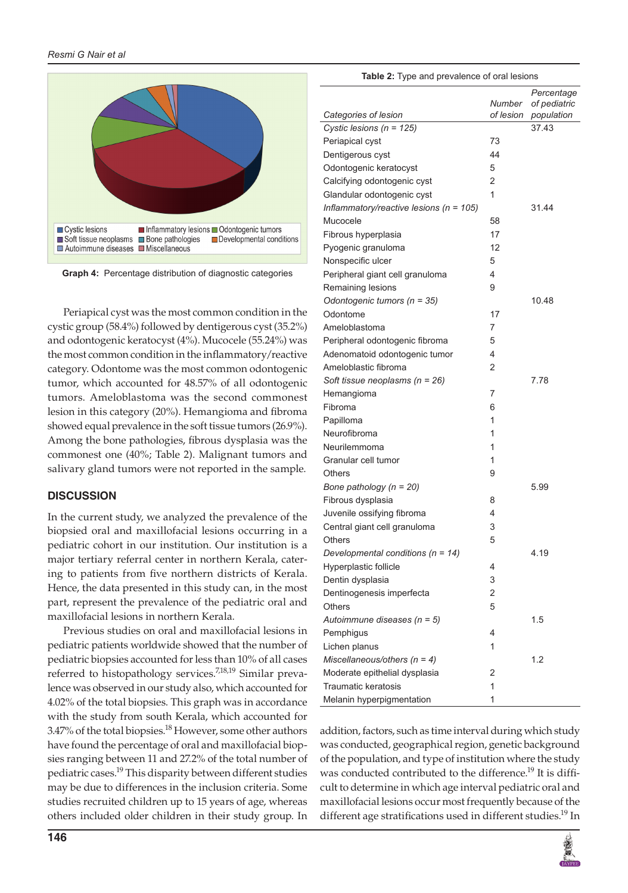

**Graph 4:** Percentage distribution of diagnostic categories

Periapical cyst was the most common condition in the cystic group (58.4%) followed by dentigerous cyst (35.2%) and odontogenic keratocyst (4%). Mucocele (55.24%) was the most common condition in the inflammatory/reactive category. Odontome was the most common odontogenic tumor, which accounted for 48.57% of all odontogenic tumors. Ameloblastoma was the second commonest lesion in this category (20%). Hemangioma and fibroma showed equal prevalence in the soft tissue tumors (26.9%). Among the bone pathologies, fibrous dysplasia was the commonest one (40%; Table 2). Malignant tumors and salivary gland tumors were not reported in the sample.

## **DISCUSSION**

In the current study, we analyzed the prevalence of the biopsied oral and maxillofacial lesions occurring in a pediatric cohort in our institution. Our institution is a major tertiary referral center in northern Kerala, catering to patients from five northern districts of Kerala. Hence, the data presented in this study can, in the most part, represent the prevalence of the pediatric oral and maxillofacial lesions in northern Kerala.

Previous studies on oral and maxillofacial lesions in pediatric patients worldwide showed that the number of pediatric biopsies accounted for less than 10% of all cases referred to histopathology services.<sup>7,18,19</sup> Similar prevalence was observed in our study also, which accounted for 4.02% of the total biopsies. This graph was in accordance with the study from south Kerala, which accounted for 3.47% of the total biopsies.<sup>18</sup> However, some other authors have found the percentage of oral and maxillofacial biopsies ranging between 11 and 27.2% of the total number of pediatric cases.19 This disparity between different studies may be due to differences in the inclusion criteria. Some studies recruited children up to 15 years of age, whereas others included older children in their study group. In

| include |  |  |
|---------|--|--|
|         |  |  |

| <b>Table 2:</b> Type and prevalence of oral lesions |                     |                                          |  |  |  |  |
|-----------------------------------------------------|---------------------|------------------------------------------|--|--|--|--|
| Categories of lesion                                | Number<br>of lesion | Percentage<br>of pediatric<br>population |  |  |  |  |
| Cystic lesions ( $n = 125$ )                        |                     | 37.43                                    |  |  |  |  |
| Periapical cyst                                     | 73                  |                                          |  |  |  |  |
| Dentigerous cyst                                    | 44                  |                                          |  |  |  |  |
| Odontogenic keratocyst                              | 5                   |                                          |  |  |  |  |
| Calcifying odontogenic cyst                         | 2                   |                                          |  |  |  |  |
| Glandular odontogenic cyst                          | 1                   |                                          |  |  |  |  |
| Inflammatory/reactive lesions ( $n = 105$ )         |                     | 31.44                                    |  |  |  |  |
| Mucocele                                            | 58                  |                                          |  |  |  |  |
| Fibrous hyperplasia                                 | 17                  |                                          |  |  |  |  |
| Pyogenic granuloma                                  | 12                  |                                          |  |  |  |  |
| Nonspecific ulcer                                   | 5                   |                                          |  |  |  |  |
| Peripheral giant cell granuloma                     | 4                   |                                          |  |  |  |  |
| Remaining lesions                                   | 9                   |                                          |  |  |  |  |
| Odontogenic tumors ( $n = 35$ )                     |                     | 10.48                                    |  |  |  |  |
| Odontome                                            | 17                  |                                          |  |  |  |  |
| Ameloblastoma                                       | 7                   |                                          |  |  |  |  |
| Peripheral odontogenic fibroma                      | 5                   |                                          |  |  |  |  |
| Adenomatoid odontogenic tumor                       | 4                   |                                          |  |  |  |  |
| Ameloblastic fibroma                                | 2                   |                                          |  |  |  |  |
| Soft tissue neoplasms ( $n = 26$ )                  |                     | 7.78                                     |  |  |  |  |
| Hemangioma                                          | 7                   |                                          |  |  |  |  |
| Fibroma                                             | 6                   |                                          |  |  |  |  |
| Papilloma                                           | 1                   |                                          |  |  |  |  |
| Neurofibroma                                        | 1                   |                                          |  |  |  |  |
| Neurilemmoma                                        | 1                   |                                          |  |  |  |  |
| Granular cell tumor                                 | 1                   |                                          |  |  |  |  |
| <b>Others</b>                                       | 9                   |                                          |  |  |  |  |
| Bone pathology $(n = 20)$                           |                     | 5.99                                     |  |  |  |  |
| Fibrous dysplasia                                   | 8                   |                                          |  |  |  |  |
| Juvenile ossifying fibroma                          | 4                   |                                          |  |  |  |  |
| Central giant cell granuloma                        | 3                   |                                          |  |  |  |  |
| Others                                              | 5                   |                                          |  |  |  |  |
| Developmental conditions ( $n = 14$ )               |                     | 4.19                                     |  |  |  |  |
| Hyperplastic follicle                               | 4                   |                                          |  |  |  |  |
| Dentin dysplasia                                    | 3                   |                                          |  |  |  |  |
| Dentinogenesis imperfecta                           | 2                   |                                          |  |  |  |  |
| <b>Others</b>                                       | 5                   |                                          |  |  |  |  |
| Autoimmune diseases $(n = 5)$                       |                     | 1.5                                      |  |  |  |  |
| Pemphigus                                           | 4                   |                                          |  |  |  |  |
| Lichen planus                                       | 1                   |                                          |  |  |  |  |
| Miscellaneous/others $(n = 4)$                      |                     | 1.2                                      |  |  |  |  |
| Moderate epithelial dysplasia                       | 2                   |                                          |  |  |  |  |
| Traumatic keratosis                                 | 1                   |                                          |  |  |  |  |
| Melanin hyperpigmentation                           | 1                   |                                          |  |  |  |  |

addition, factors, such as time interval during which study was conducted, geographical region, genetic background of the population, and type of institution where the study was conducted contributed to the difference.<sup>19</sup> It is difficult to determine in which age interval pediatric oral and maxillofacial lesions occur most frequently because of the different age stratifications used in different studies.<sup>19</sup> In

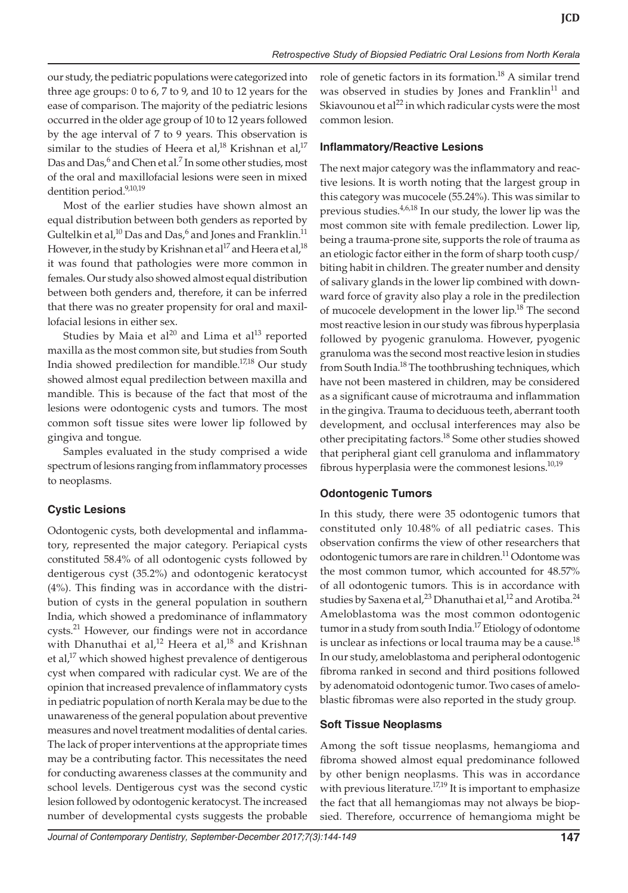our study, the pediatric populations were categorized into three age groups: 0 to 6, 7 to 9, and 10 to 12 years for the ease of comparison. The majority of the pediatric lesions occurred in the older age group of 10 to 12 years followed by the age interval of 7 to 9 years. This observation is similar to the studies of Heera et al,<sup>18</sup> Krishnan et al,<sup>17</sup> Das and Das,<sup>6</sup> and Chen et al.<sup>7</sup> In some other studies, most of the oral and maxillofacial lesions were seen in mixed dentition period.<sup>9,10,19</sup>

Most of the earlier studies have shown almost an equal distribution between both genders as reported by Gultelkin et al, $^{10}$  Das and Das, $^6$  and Jones and Franklin. $^{11}$ However, in the study by Krishnan et al<sup>17</sup> and Heera et al,<sup>18</sup> it was found that pathologies were more common in females. Our study also showed almost equal distribution between both genders and, therefore, it can be inferred that there was no greater propensity for oral and maxillofacial lesions in either sex.

Studies by Maia et al<sup>20</sup> and Lima et al<sup>13</sup> reported maxilla as the most common site, but studies from South India showed predilection for mandible.17,18 Our study showed almost equal predilection between maxilla and mandible. This is because of the fact that most of the lesions were odontogenic cysts and tumors. The most common soft tissue sites were lower lip followed by gingiva and tongue.

Samples evaluated in the study comprised a wide spectrum of lesions ranging from inflammatory processes to neoplasms.

## **Cystic Lesions**

Odontogenic cysts, both developmental and inflammatory, represented the major category. Periapical cysts constituted 58.4% of all odontogenic cysts followed by dentigerous cyst (35.2%) and odontogenic keratocyst (4%). This finding was in accordance with the distribution of cysts in the general population in southern India, which showed a predominance of inflammatory cysts.<sup>21</sup> However, our findings were not in accordance with Dhanuthai et al,<sup>12</sup> Heera et al,<sup>18</sup> and Krishnan et al,<sup>17</sup> which showed highest prevalence of dentigerous cyst when compared with radicular cyst. We are of the opinion that increased prevalence of inflammatory cysts in pediatric population of north Kerala may be due to the unawareness of the general population about preventive measures and novel treatment modalities of dental caries. The lack of proper interventions at the appropriate times may be a contributing factor. This necessitates the need for conducting awareness classes at the community and school levels. Dentigerous cyst was the second cystic lesion followed by odontogenic keratocyst. The increased number of developmental cysts suggests the probable

role of genetic factors in its formation.<sup>18</sup> A similar trend was observed in studies by Jones and Franklin $11$  and Skiavounou et al $^{22}$  in which radicular cysts were the most common lesion.

#### **Inflammatory/Reactive Lesions**

The next major category was the inflammatory and reactive lesions. It is worth noting that the largest group in this category was mucocele (55.24%). This was similar to previous studies. $4,6,18$  In our study, the lower lip was the most common site with female predilection. Lower lip, being a trauma-prone site, supports the role of trauma as an etiologic factor either in the form of sharp tooth cusp/ biting habit in children. The greater number and density of salivary glands in the lower lip combined with downward force of gravity also play a role in the predilection of mucocele development in the lower lip.<sup>18</sup> The second most reactive lesion in our study was fibrous hyperplasia followed by pyogenic granuloma. However, pyogenic granuloma was the second most reactive lesion in studies from South India.<sup>18</sup> The toothbrushing techniques, which have not been mastered in children, may be considered as a significant cause of microtrauma and inflammation in the gingiva. Trauma to deciduous teeth, aberrant tooth development, and occlusal interferences may also be other precipitating factors.<sup>18</sup> Some other studies showed that peripheral giant cell granuloma and inflammatory fibrous hyperplasia were the commonest lesions. $10,19$ 

#### **Odontogenic Tumors**

In this study, there were 35 odontogenic tumors that constituted only 10.48% of all pediatric cases. This observation confirms the view of other researchers that odontogenic tumors are rare in children.<sup>11</sup> Odontome was the most common tumor, which accounted for 48.57% of all odontogenic tumors. This is in accordance with studies by Saxena et al,<sup>23</sup> Dhanuthai et al,<sup>12</sup> and Arotiba.<sup>24</sup> Ameloblastoma was the most common odontogenic tumor in a study from south India.<sup>17</sup> Etiology of odontome is unclear as infections or local trauma may be a cause.<sup>18</sup> In our study, ameloblastoma and peripheral odontogenic fibroma ranked in second and third positions followed by adenomatoid odontogenic tumor. Two cases of ameloblastic fibromas were also reported in the study group.

#### **Soft Tissue Neoplasms**

Among the soft tissue neoplasms, hemangioma and fibroma showed almost equal predominance followed by other benign neoplasms. This was in accordance with previous literature.<sup>17,19</sup> It is important to emphasize the fact that all hemangiomas may not always be biopsied. Therefore, occurrence of hemangioma might be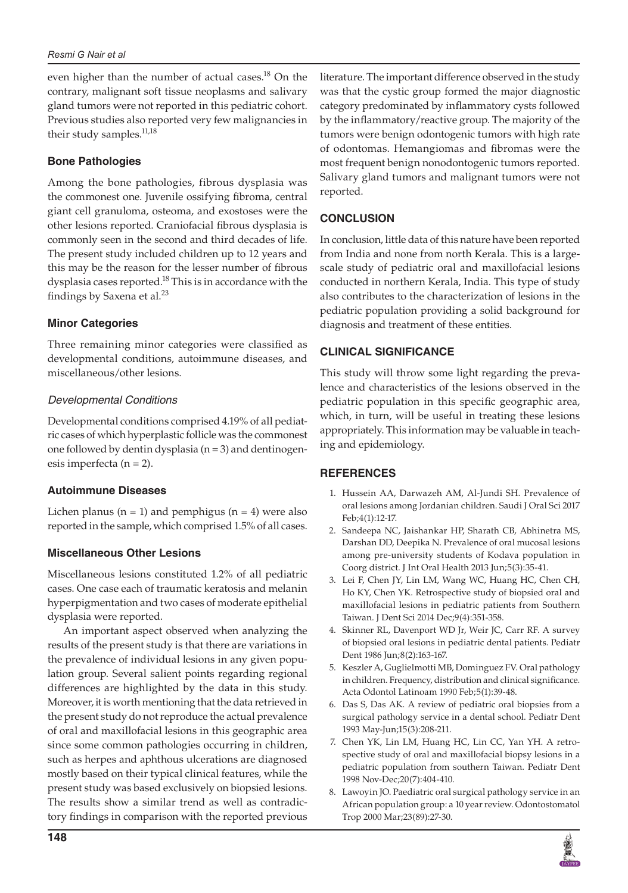even higher than the number of actual cases.<sup>18</sup> On the contrary, malignant soft tissue neoplasms and salivary gland tumors were not reported in this pediatric cohort. Previous studies also reported very few malignancies in their study samples.<sup>11,18</sup>

## **Bone Pathologies**

Among the bone pathologies, fibrous dysplasia was the commonest one. Juvenile ossifying fibroma, central giant cell granuloma, osteoma, and exostoses were the other lesions reported. Craniofacial fibrous dysplasia is commonly seen in the second and third decades of life. The present study included children up to 12 years and this may be the reason for the lesser number of fibrous dysplasia cases reported.<sup>18</sup> This is in accordance with the findings by Saxena et al. $^{23}$ 

## **Minor Categories**

Three remaining minor categories were classified as developmental conditions, autoimmune diseases, and miscellaneous/other lesions.

## *Developmental Conditions*

Developmental conditions comprised 4.19% of all pediatric cases of which hyperplastic follicle was the commonest one followed by dentin dysplasia  $(n = 3)$  and dentinogenesis imperfecta  $(n = 2)$ .

## **Autoimmune Diseases**

Lichen planus ( $n = 1$ ) and pemphigus ( $n = 4$ ) were also reported in the sample, which comprised 1.5% of all cases.

## **Miscellaneous Other Lesions**

Miscellaneous lesions constituted 1.2% of all pediatric cases. One case each of traumatic keratosis and melanin hyperpigmentation and two cases of moderate epithelial dysplasia were reported.

An important aspect observed when analyzing the results of the present study is that there are variations in the prevalence of individual lesions in any given population group. Several salient points regarding regional differences are highlighted by the data in this study. Moreover, it is worth mentioning that the data retrieved in the present study do not reproduce the actual prevalence of oral and maxillofacial lesions in this geographic area since some common pathologies occurring in children, such as herpes and aphthous ulcerations are diagnosed mostly based on their typical clinical features, while the present study was based exclusively on biopsied lesions. The results show a similar trend as well as contradictory findings in comparison with the reported previous

literature. The important difference observed in the study was that the cystic group formed the major diagnostic category predominated by inflammatory cysts followed by the inflammatory/reactive group. The majority of the tumors were benign odontogenic tumors with high rate of odontomas. Hemangiomas and fibromas were the most frequent benign nonodontogenic tumors reported. Salivary gland tumors and malignant tumors were not reported.

## **CONCLUSION**

In conclusion, little data of this nature have been reported from India and none from north Kerala. This is a largescale study of pediatric oral and maxillofacial lesions conducted in northern Kerala, India. This type of study also contributes to the characterization of lesions in the pediatric population providing a solid background for diagnosis and treatment of these entities.

## **Clinical Significance**

This study will throw some light regarding the prevalence and characteristics of the lesions observed in the pediatric population in this specific geographic area, which, in turn, will be useful in treating these lesions appropriately. This information may be valuable in teaching and epidemiology.

## **REFERENCES**

- 1. Hussein AA, Darwazeh AM, Al-Jundi SH. Prevalence of oral lesions among Jordanian children. Saudi J Oral Sci 2017 Feb;4(1):12-17.
- 2. Sandeepa NC, Jaishankar HP, Sharath CB, Abhinetra MS, Darshan DD, Deepika N. Prevalence of oral mucosal lesions among pre-university students of Kodava population in Coorg district. J Int Oral Health 2013 Jun;5(3):35-41.
- 3. Lei F, Chen JY, Lin LM, Wang WC, Huang HC, Chen CH, Ho KY, Chen YK. Retrospective study of biopsied oral and maxillofacial lesions in pediatric patients from Southern Taiwan. J Dent Sci 2014 Dec;9(4):351-358.
- 4. Skinner RL, Davenport WD Jr, Weir JC, Carr RF. A survey of biopsied oral lesions in pediatric dental patients. Pediatr Dent 1986 Jun;8(2):163-167.
- 5. Keszler A, Guglielmotti MB, Dominguez FV. Oral pathology in children. Frequency, distribution and clinical significance. Acta Odontol Latinoam 1990 Feb;5(1):39-48.
- 6. Das S, Das AK. A review of pediatric oral biopsies from a surgical pathology service in a dental school. Pediatr Dent 1993 May-Jun;15(3):208-211.
- 7. Chen YK, Lin LM, Huang HC, Lin CC, Yan YH. A retrospective study of oral and maxillofacial biopsy lesions in a pediatric population from southern Taiwan. Pediatr Dent 1998 Nov-Dec;20(7):404-410.
- 8. Lawoyin JO. Paediatric oral surgical pathology service in an African population group: a 10 year review. Odontostomatol Trop 2000 Mar;23(89):27-30.